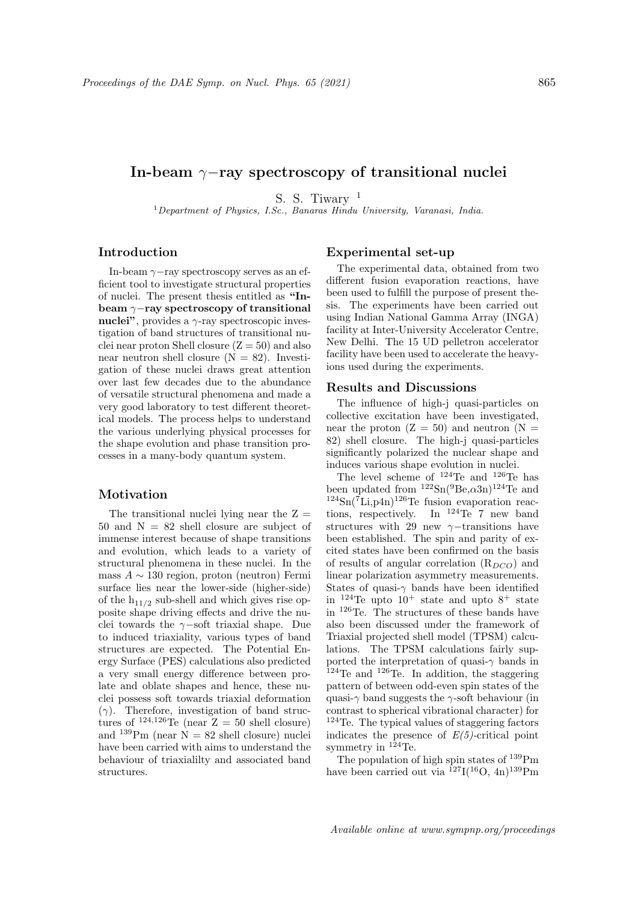# In-beam  $\gamma$ -ray spectroscopy of transitional nuclei

S. S. Tiwary  $1$ 

 $1$ Department of Physics, I.Sc., Banaras Hindu University, Varanasi, India.

## Introduction

In-beam  $\gamma$ -ray spectroscopy serves as an efficient tool to investigate structural properties of nuclei. The present thesis entitled as "Inbeam γ−ray spectroscopy of transitional nuclei", provides a  $\gamma$ -ray spectroscopic investigation of band structures of transitional nuclei near proton Shell closure  $(Z = 50)$  and also near neutron shell closure  $(N = 82)$ . Investigation of these nuclei draws great attention over last few decades due to the abundance of versatile structural phenomena and made a very good laboratory to test different theoretical models. The process helps to understand the various underlying physical processes for the shape evolution and phase transition processes in a many-body quantum system.

#### Motivation

The transitional nuclei lying near the  $Z =$ 50 and  $N = 82$  shell closure are subject of immense interest because of shape transitions and evolution, which leads to a variety of structural phenomena in these nuclei. In the mass  $A \sim 130$  region, proton (neutron) Fermi surface lies near the lower-side (higher-side) of the  $h_{11/2}$  sub-shell and which gives rise opposite shape driving effects and drive the nuclei towards the  $\gamma$ −soft triaxial shape. Due to induced triaxiality, various types of band structures are expected. The Potential Energy Surface (PES) calculations also predicted a very small energy difference between prolate and oblate shapes and hence, these nuclei possess soft towards triaxial deformation  $(\gamma)$ . Therefore, investigation of band structures of  $^{124,126}$ Te (near  $Z = 50$  shell closure) and  $^{139}$ Pm (near  $\dot{N} = 82$  shell closure) nuclei have been carried with aims to understand the behaviour of triaxialilty and associated band structures.

### Experimental set-up

The experimental data, obtained from two different fusion evaporation reactions, have been used to fulfill the purpose of present thesis. The experiments have been carried out using Indian National Gamma Array (INGA) facility at Inter-University Accelerator Centre, New Delhi. The 15 UD pelletron accelerator facility have been used to accelerate the heavyions used during the experiments.

#### Results and Discussions

The influence of high-j quasi-particles on collective excitation have been investigated, near the proton  $(Z = 50)$  and neutron  $(N =$ 82) shell closure. The high-j quasi-particles significantly polarized the nuclear shape and induces various shape evolution in nuclei.

The level scheme of  $^{124}$ Te and  $^{126}$ Te has been updated from  $^{122}\text{Sn}(^{9}\text{Be},\alpha3\text{n})^{124}\text{Te}$  and  $124\text{Sn}(\overline{7}\text{Li},p4\text{n})^{126}\text{Te}$  fusion evaporation reactions, respectively. In <sup>124</sup>Te 7 new band structures with 29 new  $\gamma$ −transitions have been established. The spin and parity of excited states have been confirmed on the basis of results of angular correlation  $(R_{DCO})$  and linear polarization asymmetry measurements. States of quasi- $\gamma$  bands have been identified in  $124$ Te upto  $10^+$  state and upto  $8^+$  state in <sup>126</sup>Te. The structures of these bands have also been discussed under the framework of Triaxial projected shell model (TPSM) calculations. The TPSM calculations fairly supported the interpretation of quasi- $\gamma$  bands in <sup>124</sup>Te and <sup>126</sup>Te. In addition, the staggering pattern of between odd-even spin states of the quasi- $\gamma$  band suggests the  $\gamma$ -soft behaviour (in contrast to spherical vibrational character) for <sup>124</sup>Te. The typical values of staggering factors indicates the presence of  $E(5)$ -critical point symmetry in  $124$  Te.

The population of high spin states of <sup>139</sup>Pm have been carried out via  $^{127}I(^{16}O, 4n)^{139}Pm$